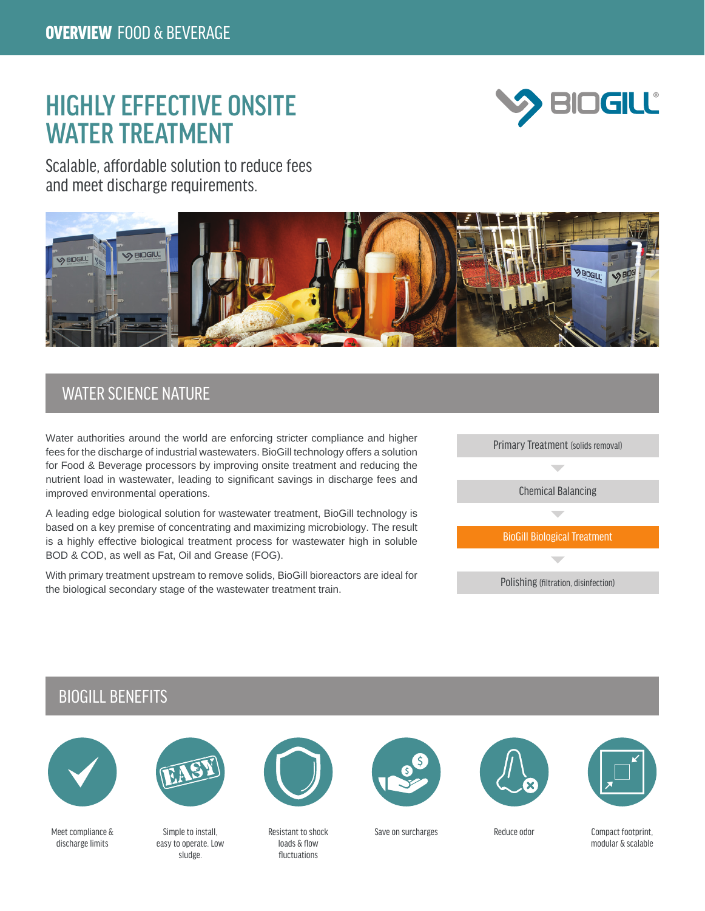# HIGHLY EFFECTIVE ONSITE WATER TREATMENT



Scalable, affordable solution to reduce fees and meet discharge requirements.



## WATER SCIENCE NATURE

Water authorities around the world are enforcing stricter compliance and higher fees for the discharge of industrial wastewaters. BioGill technology offers a solution for Food & Beverage processors by improving onsite treatment and reducing the nutrient load in wastewater, leading to significant savings in discharge fees and improved environmental operations.

A leading edge biological solution for wastewater treatment, BioGill technology is based on a key premise of concentrating and maximizing microbiology. The result is a highly effective biological treatment process for wastewater high in soluble BOD & COD, as well as Fat, Oil and Grease (FOG).

With primary treatment upstream to remove solids, BioGill bioreactors are ideal for the biological secondary stage of the wastewater treatment train.



### BIOGILL BENEFITS



Meet compliance & discharge limits



Simple to install, easy to operate. Low sludge.



Resistant to shock loads & flow fluctuations







Save on surcharges extending Reduce odor Compact footprint,

Reduce odor

modular & scalable